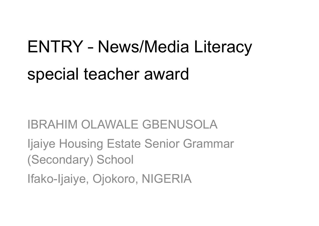# ENTRY – News/Media Literacy special teacher award

IBRAHIM OLAWALE GBENUSOLA

Ijaiye Housing Estate Senior Grammar (Secondary) School

Ifako-Ijaiye, Ojokoro, NIGERIA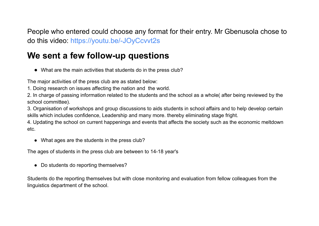People who entered could choose any format for their entry. Mr Gbenusola chose to do this video: <https://youtu.be/-JOyCcvvt2s>

# **We sent a few follow-up questions**

● What are the main activities that students do in the press club?

The major activities of the press club are as stated below:

1. Doing research on issues affecting the nation and the world.

2. In charge of passing information related to the students and the school as a whole( after being reviewed by the school committee).

3. Organisation of workshops and group discussions to aids students in school affairs and to help develop certain skills which includes confidence, Leadership and many more. thereby eliminating stage fright.

4. Updating the school on current happenings and events that affects the society such as the economic meltdown etc.

• What ages are the students in the press club?

The ages of students in the press club are between to 14-18 year's

● Do students do reporting themselves?

Students do the reporting themselves but with close monitoring and evaluation from fellow colleagues from the linguistics department of the school.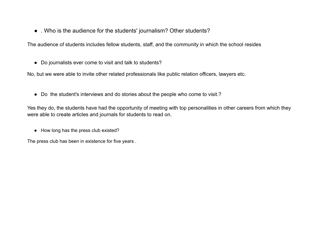• . Who is the audience for the students' journalism? Other students?

The audience of students includes fellow students, staff, and the community in which the school resides

● Do journalists ever come to visit and talk to students?

No, but we were able to invite other related professionals like public relation officers, lawyers etc.

● Do the student's interviews and do stories about the people who come to visit.?

Yes they do, the students have had the opportunity of meeting with top personalities in other careers from which they were able to create articles and journals for students to read on.

● How long has the press club existed?

The press club has been in existence for five years .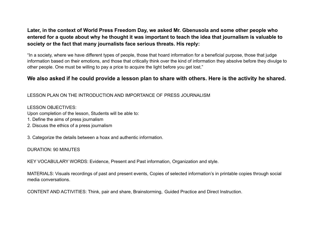## **Later, in the context of World Press Freedom Day, we asked Mr. Gbenusola and some other people who entered for a quote about why he thought it was important to teach the idea that journalism is valuable to society or the fact that many journalists face serious threats. His reply:**

"In a society, where we have different types of people, those that hoard information for a beneficial purpose, those that judge information based on their emotions, and those that critically think over the kind of information they absolve before they divulge to other people. One must be willing to pay a price to acquire the light before you get lost."

### We also asked if he could provide a lesson plan to share with others. Here is the activity he shared.

#### LESSON PLAN ON THE INTRODUCTION AND IMPORTANCE OF PRESS JOURNALISM

LESSON OBJECTIVES: Upon completion of the lesson, Students will be able to: 1. Define the aims of press journalism

2. Discuss the ethics of a press journalism

3. Categorize the details between a hoax and authentic information.

#### DURATION: 90 MINUTES

KEY VOCABULARY WORDS: Evidence, Present and Past information, Organization and style.

MATERIALS: Visuals recordings of past and present events, Copies of selected information's in printable copies through social media conversations.

CONTENT AND ACTIVITIES: Think, pair and share, Brainstorming, Guided Practice and Direct Instruction.